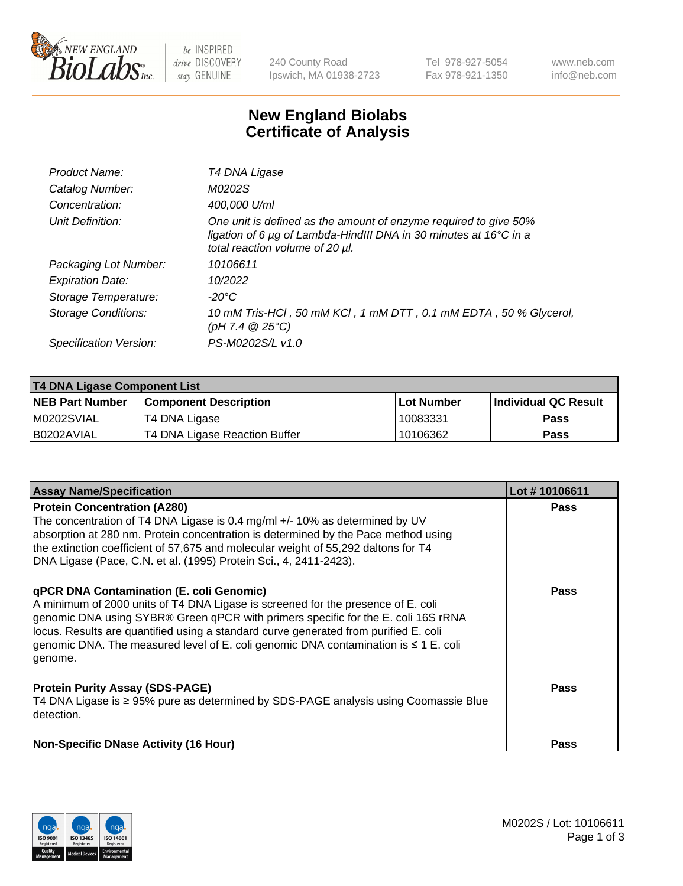

 $be$  INSPIRED drive DISCOVERY stay GENUINE

240 County Road Ipswich, MA 01938-2723 Tel 978-927-5054 Fax 978-921-1350 www.neb.com info@neb.com

## **New England Biolabs Certificate of Analysis**

| Product Name:              | T4 DNA Ligase                                                                                                                                                            |
|----------------------------|--------------------------------------------------------------------------------------------------------------------------------------------------------------------------|
| Catalog Number:            | M0202S                                                                                                                                                                   |
| Concentration:             | 400,000 U/ml                                                                                                                                                             |
| Unit Definition:           | One unit is defined as the amount of enzyme required to give 50%<br>ligation of 6 µg of Lambda-HindIII DNA in 30 minutes at 16°C in a<br>total reaction volume of 20 µl. |
| Packaging Lot Number:      | 10106611                                                                                                                                                                 |
| <b>Expiration Date:</b>    | 10/2022                                                                                                                                                                  |
| Storage Temperature:       | -20°C                                                                                                                                                                    |
| <b>Storage Conditions:</b> | 10 mM Tris-HCl, 50 mM KCl, 1 mM DTT, 0.1 mM EDTA, 50 % Glycerol,<br>(pH 7.4 $@25°C$ )                                                                                    |
| Specification Version:     | PS-M0202S/L v1.0                                                                                                                                                         |

| T4 DNA Ligase Component List |                               |              |                             |  |  |
|------------------------------|-------------------------------|--------------|-----------------------------|--|--|
| <b>NEB Part Number</b>       | <b>Component Description</b>  | l Lot Number | <b>Individual QC Result</b> |  |  |
| M0202SVIAL                   | T4 DNA Ligase                 | 10083331     | <b>Pass</b>                 |  |  |
| I B0202AVIAL                 | T4 DNA Ligase Reaction Buffer | 10106362     | <b>Pass</b>                 |  |  |

| <b>Assay Name/Specification</b>                                                                                                                                                                                                                                                                                                                                                                                  | Lot #10106611 |
|------------------------------------------------------------------------------------------------------------------------------------------------------------------------------------------------------------------------------------------------------------------------------------------------------------------------------------------------------------------------------------------------------------------|---------------|
| <b>Protein Concentration (A280)</b><br>The concentration of T4 DNA Ligase is 0.4 mg/ml +/- 10% as determined by UV<br>absorption at 280 nm. Protein concentration is determined by the Pace method using<br>the extinction coefficient of 57,675 and molecular weight of 55,292 daltons for T4<br>DNA Ligase (Pace, C.N. et al. (1995) Protein Sci., 4, 2411-2423).                                              | <b>Pass</b>   |
| qPCR DNA Contamination (E. coli Genomic)<br>A minimum of 2000 units of T4 DNA Ligase is screened for the presence of E. coli<br>genomic DNA using SYBR® Green qPCR with primers specific for the E. coli 16S rRNA<br>locus. Results are quantified using a standard curve generated from purified E. coli<br>genomic DNA. The measured level of E. coli genomic DNA contamination is $\leq 1$ E. coli<br>genome. | <b>Pass</b>   |
| <b>Protein Purity Assay (SDS-PAGE)</b><br>T4 DNA Ligase is ≥ 95% pure as determined by SDS-PAGE analysis using Coomassie Blue<br>detection.                                                                                                                                                                                                                                                                      | Pass          |
| <b>Non-Specific DNase Activity (16 Hour)</b>                                                                                                                                                                                                                                                                                                                                                                     | Pass          |

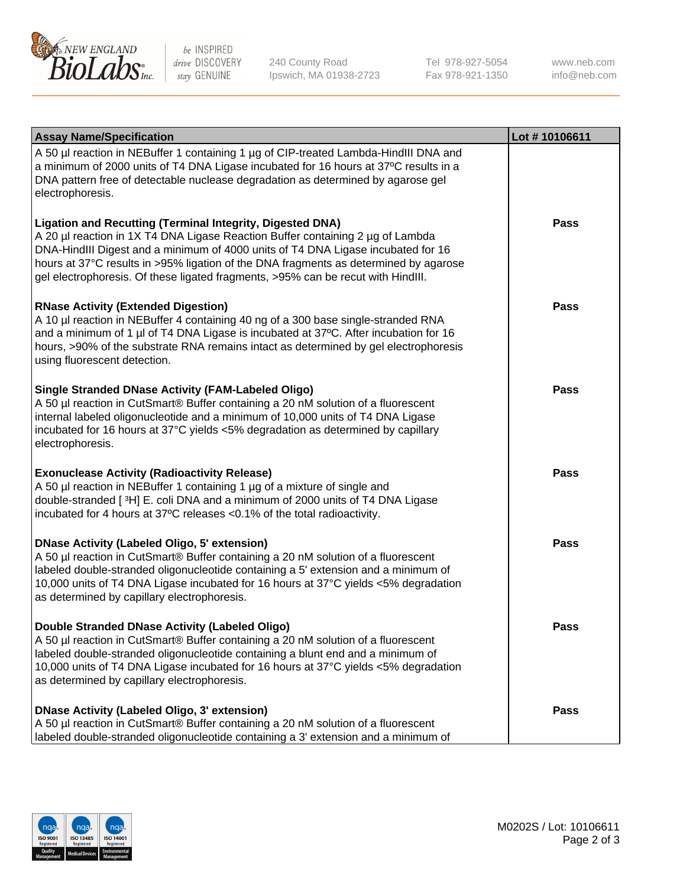

be INSPIRED drive DISCOVERY stay GENUINE

240 County Road Ipswich, MA 01938-2723 Tel 978-927-5054 Fax 978-921-1350

www.neb.com info@neb.com

| <b>Assay Name/Specification</b>                                                                                                                                                                                                                                                                                                                                                                                    | Lot #10106611 |
|--------------------------------------------------------------------------------------------------------------------------------------------------------------------------------------------------------------------------------------------------------------------------------------------------------------------------------------------------------------------------------------------------------------------|---------------|
| A 50 µl reaction in NEBuffer 1 containing 1 µg of CIP-treated Lambda-HindIII DNA and<br>a minimum of 2000 units of T4 DNA Ligase incubated for 16 hours at 37°C results in a<br>DNA pattern free of detectable nuclease degradation as determined by agarose gel<br>electrophoresis.                                                                                                                               |               |
| <b>Ligation and Recutting (Terminal Integrity, Digested DNA)</b><br>A 20 µl reaction in 1X T4 DNA Ligase Reaction Buffer containing 2 µg of Lambda<br>DNA-HindIII Digest and a minimum of 4000 units of T4 DNA Ligase incubated for 16<br>hours at 37°C results in >95% ligation of the DNA fragments as determined by agarose<br>gel electrophoresis. Of these ligated fragments, >95% can be recut with HindIII. | Pass          |
| <b>RNase Activity (Extended Digestion)</b><br>A 10 µl reaction in NEBuffer 4 containing 40 ng of a 300 base single-stranded RNA<br>and a minimum of 1 µl of T4 DNA Ligase is incubated at 37°C. After incubation for 16<br>hours, >90% of the substrate RNA remains intact as determined by gel electrophoresis<br>using fluorescent detection.                                                                    | Pass          |
| <b>Single Stranded DNase Activity (FAM-Labeled Oligo)</b><br>A 50 µl reaction in CutSmart® Buffer containing a 20 nM solution of a fluorescent<br>internal labeled oligonucleotide and a minimum of 10,000 units of T4 DNA Ligase<br>incubated for 16 hours at 37°C yields <5% degradation as determined by capillary<br>electrophoresis.                                                                          | Pass          |
| <b>Exonuclease Activity (Radioactivity Release)</b><br>A 50 µl reaction in NEBuffer 1 containing 1 µg of a mixture of single and<br>double-stranded [3H] E. coli DNA and a minimum of 2000 units of T4 DNA Ligase<br>incubated for 4 hours at 37°C releases <0.1% of the total radioactivity.                                                                                                                      | <b>Pass</b>   |
| <b>DNase Activity (Labeled Oligo, 5' extension)</b><br>A 50 µl reaction in CutSmart® Buffer containing a 20 nM solution of a fluorescent<br>labeled double-stranded oligonucleotide containing a 5' extension and a minimum of<br>10,000 units of T4 DNA Ligase incubated for 16 hours at 37°C yields <5% degradation<br>as determined by capillary electrophoresis.                                               | <b>Pass</b>   |
| Double Stranded DNase Activity (Labeled Oligo)<br>A 50 µl reaction in CutSmart® Buffer containing a 20 nM solution of a fluorescent<br>labeled double-stranded oligonucleotide containing a blunt end and a minimum of<br>10,000 units of T4 DNA Ligase incubated for 16 hours at 37°C yields <5% degradation<br>as determined by capillary electrophoresis.                                                       | <b>Pass</b>   |
| <b>DNase Activity (Labeled Oligo, 3' extension)</b><br>A 50 µl reaction in CutSmart® Buffer containing a 20 nM solution of a fluorescent<br>labeled double-stranded oligonucleotide containing a 3' extension and a minimum of                                                                                                                                                                                     | Pass          |